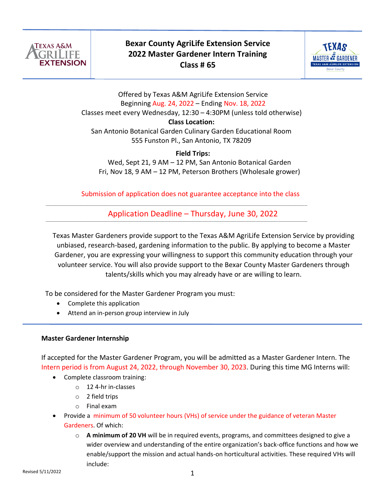

**Bexar County AgriLife Extension Service 2022 Master Gardener Intern Training Class # 65**



Offered by Texas A&M AgriLife Extension Service Beginning Aug. 24, 2022 – Ending Nov. 18, 2022 Classes meet every Wednesday, 12:30 – 4:30PM (unless told otherwise) **Class Location:**  San Antonio Botanical Garden Culinary Garden Educational Room 555 Funston Pl., San Antonio, TX 78209

**Field Trips:**

Wed, Sept 21, 9 AM – 12 PM, San Antonio Botanical Garden Fri, Nov 18, 9 AM – 12 PM, Peterson Brothers (Wholesale grower)

Submission of application does not guarantee acceptance into the class

 $\_$  ,  $\_$  ,  $\_$  ,  $\_$  ,  $\_$  ,  $\_$  ,  $\_$  ,  $\_$  ,  $\_$  ,  $\_$  ,  $\_$  ,  $\_$  ,  $\_$  ,  $\_$  ,  $\_$  ,  $\_$  ,  $\_$  ,  $\_$  ,  $\_$  ,  $\_$  ,  $\_$  ,  $\_$  ,  $\_$  ,  $\_$  ,  $\_$  ,  $\_$  ,  $\_$  ,  $\_$  ,  $\_$  ,  $\_$  ,  $\_$  ,  $\_$  ,  $\_$  ,  $\_$  ,  $\_$  ,  $\_$  ,  $\_$  ,

 $\_$  ,  $\_$  ,  $\_$  ,  $\_$  ,  $\_$  ,  $\_$  ,  $\_$  ,  $\_$  ,  $\_$  ,  $\_$  ,  $\_$  ,  $\_$  ,  $\_$  ,  $\_$  ,  $\_$  ,  $\_$  ,  $\_$  ,  $\_$  ,  $\_$  ,  $\_$  ,  $\_$  ,  $\_$  ,  $\_$  ,  $\_$  ,  $\_$  ,  $\_$  ,  $\_$  ,  $\_$  ,  $\_$  ,  $\_$  ,  $\_$  ,  $\_$  ,  $\_$  ,  $\_$  ,  $\_$  ,  $\_$  ,  $\_$  ,

Application Deadline – Thursday, June 30, 2022

Texas Master Gardeners provide support to the Texas A&M AgriLife Extension Service by providing unbiased, research-based, gardening information to the public. By applying to become a Master Gardener, you are expressing your willingness to support this community education through your volunteer service. You will also provide support to the Bexar County Master Gardeners through talents/skills which you may already have or are willing to learn.

To be considered for the Master Gardener Program you must:

- Complete this application
- Attend an in-person group interview in July

## **Master Gardener Internship**

If accepted for the Master Gardener Program, you will be admitted as a Master Gardener Intern. The Intern period is from August 24, 2022, through November 30, 2023. During this time MG Interns will:

- Complete classroom training:
	- o 12 4-hr in-classes
	- o 2 field trips
	- o Final exam
- Provide a minimum of 50 volunteer hours (VHs) of service under the guidance of veteran Master Gardeners. Of which:
	- o **A minimum of 20 VH** will be in required events, programs, and committees designed to give a wider overview and understanding of the entire organization's back-office functions and how we enable/support the mission and actual hands-on horticultural activities. These required VHs will include: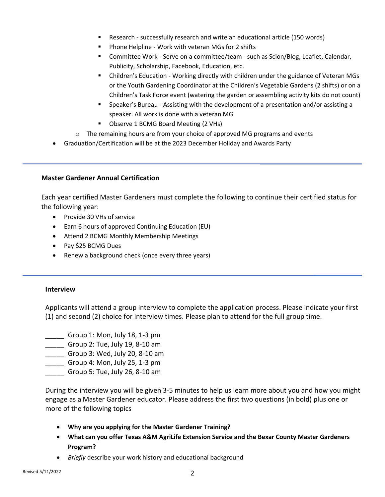- Research successfully research and write an educational article (150 words)
- Phone Helpline Work with veteran MGs for 2 shifts
- Committee Work Serve on a committee/team such as Scion/Blog, Leaflet, Calendar, Publicity, Scholarship, Facebook, Education, etc.
- Children's Education Working directly with children under the guidance of Veteran MGs or the Youth Gardening Coordinator at the Children's Vegetable Gardens (2 shifts) or on a Children's Task Force event (watering the garden or assembling activity kits do not count)
- Speaker's Bureau Assisting with the development of a presentation and/or assisting a speaker. All work is done with a veteran MG
- Observe 1 BCMG Board Meeting (2 VHs)
- $\circ$  The remaining hours are from your choice of approved MG programs and events
- Graduation/Certification will be at the 2023 December Holiday and Awards Party

# **Master Gardener Annual Certification**

Each year certified Master Gardeners must complete the following to continue their certified status for the following year:

- Provide 30 VHs of service
- Earn 6 hours of approved Continuing Education (EU)
- Attend 2 BCMG Monthly Membership Meetings
- Pay \$25 BCMG Dues
- Renew a background check (once every three years)

## **Interview**

Applicants will attend a group interview to complete the application process. Please indicate your first (1) and second (2) choice for interview times. Please plan to attend for the full group time.

- \_\_\_\_\_ Group 1: Mon, July 18, 1-3 pm
- **EXECUTE:** Group 2: Tue, July 19, 8-10 am
- \_\_\_\_\_ Group 3: Wed, July 20, 8-10 am
- \_\_\_\_\_ Group 4: Mon, July 25, 1-3 pm
- \_\_\_\_\_ Group 5: Tue, July 26, 8-10 am

During the interview you will be given 3-5 minutes to help us learn more about you and how you might engage as a Master Gardener educator. Please address the first two questions (in bold) plus one or more of the following topics

- **Why are you applying for the Master Gardener Training?**
- **What can you offer Texas A&M AgriLife Extension Service and the Bexar County Master Gardeners Program?**
- *Briefly* describe your work history and educational background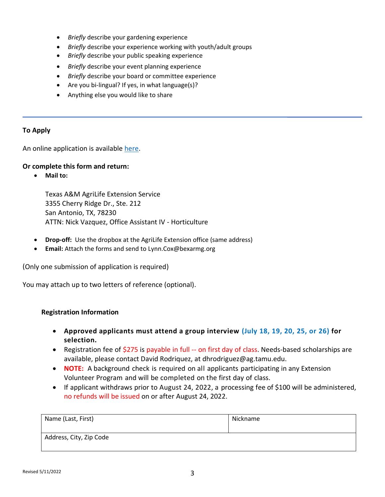- *Briefly* describe your gardening experience
- *Briefly* describe your experience working with youth/adult groups
- *Briefly* describe your public speaking experience
- *Briefly* describe your event planning experience
- *Briefly* describe your board or committee experience
- Are you bi-lingual? If yes, in what language(s)?
- Anything else you would like to share

## **To Apply**

An online application is available [here.](http://bexarmg.org/get-involved/apply-for-training)

## **Or complete this form and return:**

• **Mail to:** 

Texas A&M AgriLife Extension Service 3355 Cherry Ridge Dr., Ste. 212 San Antonio, TX, 78230 ATTN: Nick Vazquez, Office Assistant IV - Horticulture

- **Drop-off:** Use the dropbox at the AgriLife Extension office (same address)
- **Email:** Attach the forms and send to Lynn.Cox@bexarmg.org

(Only one submission of application is required)

You may attach up to two letters of reference (optional).

#### **Registration Information**

- **Approved applicants must attend a group interview (July 18, 19, 20, 25, or 26) for selection.**
- Registration fee of \$275 is payable in full -- on first day of class. Needs-based scholarships are available, please contact David Rodriquez, at dhrodriguez@ag.tamu.edu.
- **NOTE:** A background check is required on all applicants participating in any Extension Volunteer Program and will be completed on the first day of class.
- If applicant withdraws prior to August 24, 2022, a processing fee of \$100 will be administered, no refunds will be issued on or after August 24, 2022.

| Name (Last, First)      | Nickname |
|-------------------------|----------|
| Address, City, Zip Code |          |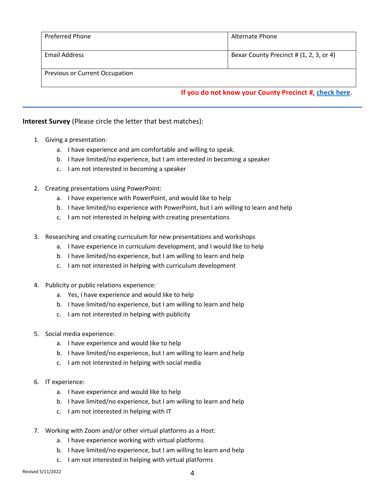| Preferred Phone                       | Alternate Phone                         |
|---------------------------------------|-----------------------------------------|
| <b>Email Address</b>                  | Bexar County Precinct # (1, 2, 3, or 4) |
| <b>Previous or Current Occupation</b> |                                         |

## **If you do not know your County Precinct #, [check here.](https://maps.bexar.org/Commissioners/)**

#### **Interest Survey** (Please circle the letter that best matches):

- 1. Giving a presentation:
	- a. I have experience and am comfortable and willing to speak.
	- b. I have limited/no experience, but I am interested in becoming a speaker
	- c. I am not interested in becoming a speaker
- 2. Creating presentations using PowerPoint:
	- a. I have experience with PowerPoint, and would like to help
	- b. I have limited/no experience with PowerPoint, but I am willing to learn and help
	- c. I am not interested in helping with creating presentations
- 3. Researching and creating curriculum for new presentations and workshops
	- a. I have experience in curriculum development, and I would like to help
	- b. I have limited/no experience, but I am willing to learn and help
	- c. I am not interested in helping with curriculum development
- 4. Publicity or public relations experience:
	- a. Yes, I have experience and would like to help
	- b. I have limited/no experience, but I am willing to learn and help
	- c. I am not interested in helping with publicity
- 5. Social media experience:
	- a. I have experience and would like to help
	- b. I have limited/no experience, but I am willing to learn and help
	- c. I am not interested in helping with social media
- 6. IT experience:
	- a. I have experience and would like to help
	- b. I have limited/no experience, but I am willing to learn and help
	- c. I am not interested in helping with IT
- 7. Working with Zoom and/or other virtual platforms as a Host:
	- a. I have experience working with virtual platforms
	- b. I have limited/no experience, but I am willing to learn and help
	- c. I am not interested in helping with virtual platforms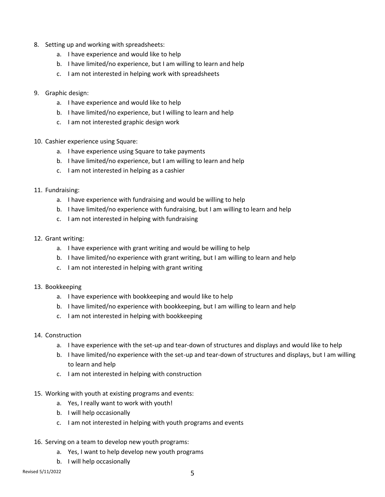- 8. Setting up and working with spreadsheets:
	- a. I have experience and would like to help
	- b. I have limited/no experience, but I am willing to learn and help
	- c. I am not interested in helping work with spreadsheets
- 9. Graphic design:
	- a. I have experience and would like to help
	- b. I have limited/no experience, but I willing to learn and help
	- c. I am not interested graphic design work
- 10. Cashier experience using Square:
	- a. I have experience using Square to take payments
	- b. I have limited/no experience, but I am willing to learn and help
	- c. I am not interested in helping as a cashier
- 11. Fundraising:
	- a. I have experience with fundraising and would be willing to help
	- b. I have limited/no experience with fundraising, but I am willing to learn and help
	- c. I am not interested in helping with fundraising
- 12. Grant writing:
	- a. I have experience with grant writing and would be willing to help
	- b. I have limited/no experience with grant writing, but I am willing to learn and help
	- c. I am not interested in helping with grant writing
- 13. Bookkeeping
	- a. I have experience with bookkeeping and would like to help
	- b. I have limited/no experience with bookkeeping, but I am willing to learn and help
	- c. I am not interested in helping with bookkeeping
- 14. Construction
	- a. I have experience with the set-up and tear-down of structures and displays and would like to help
	- b. I have limited/no experience with the set-up and tear-down of structures and displays, but I am willing to learn and help
	- c. I am not interested in helping with construction
- 15. Working with youth at existing programs and events:
	- a. Yes, I really want to work with youth!
	- b. I will help occasionally
	- c. I am not interested in helping with youth programs and events
- 16. Serving on a team to develop new youth programs:
	- a. Yes, I want to help develop new youth programs
	- b. I will help occasionally